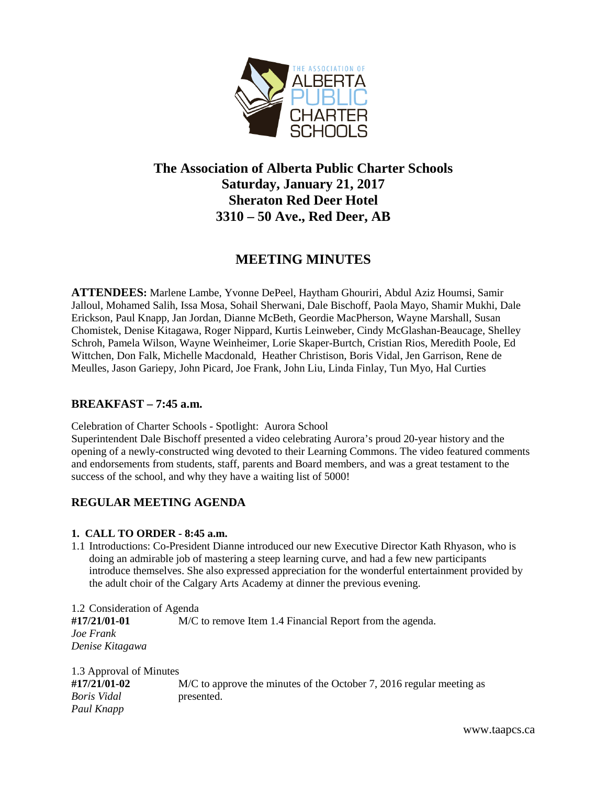

# **The Association of Alberta Public Charter Schools Saturday, January 21, 2017 Sheraton Red Deer Hotel 3310 – 50 Ave., Red Deer, AB**

## **MEETING MINUTES**

**ATTENDEES:** Marlene Lambe, Yvonne DePeel, Haytham Ghouriri, Abdul Aziz Houmsi, Samir Jalloul, Mohamed Salih, Issa Mosa, Sohail Sherwani, Dale Bischoff, Paola Mayo, Shamir Mukhi, Dale Erickson, Paul Knapp, Jan Jordan, Dianne McBeth, Geordie MacPherson, Wayne Marshall, Susan Chomistek, Denise Kitagawa, Roger Nippard, Kurtis Leinweber, Cindy McGlashan-Beaucage, Shelley Schroh, Pamela Wilson, Wayne Weinheimer, Lorie Skaper-Burtch, Cristian Rios, Meredith Poole, Ed Wittchen, Don Falk, Michelle Macdonald, Heather Christison, Boris Vidal, Jen Garrison, Rene de Meulles, Jason Gariepy, John Picard, Joe Frank, John Liu, Linda Finlay, Tun Myo, Hal Curties

## **BREAKFAST – 7:45 a.m.**

Celebration of Charter Schools - Spotlight: Aurora School

Superintendent Dale Bischoff presented a video celebrating Aurora's proud 20-year history and the opening of a newly-constructed wing devoted to their Learning Commons. The video featured comments and endorsements from students, staff, parents and Board members, and was a great testament to the success of the school, and why they have a waiting list of 5000!

## **REGULAR MEETING AGENDA**

## **1. CALL TO ORDER - 8:45 a.m.**

1.1 Introductions: Co-President Dianne introduced our new Executive Director Kath Rhyason, who is doing an admirable job of mastering a steep learning curve, and had a few new participants introduce themselves. She also expressed appreciation for the wonderful entertainment provided by the adult choir of the Calgary Arts Academy at dinner the previous evening.

1.2 Consideration of Agenda **#17/21/01-01** M/C to remove Item 1.4 Financial Report from the agenda. *Joe Frank Denise Kitagawa*

1.3 Approval of Minutes **#17/21/01-02** M/C to approve the minutes of the October 7, 2016 regular meeting as *Boris Vidal* presented. *Paul Knapp*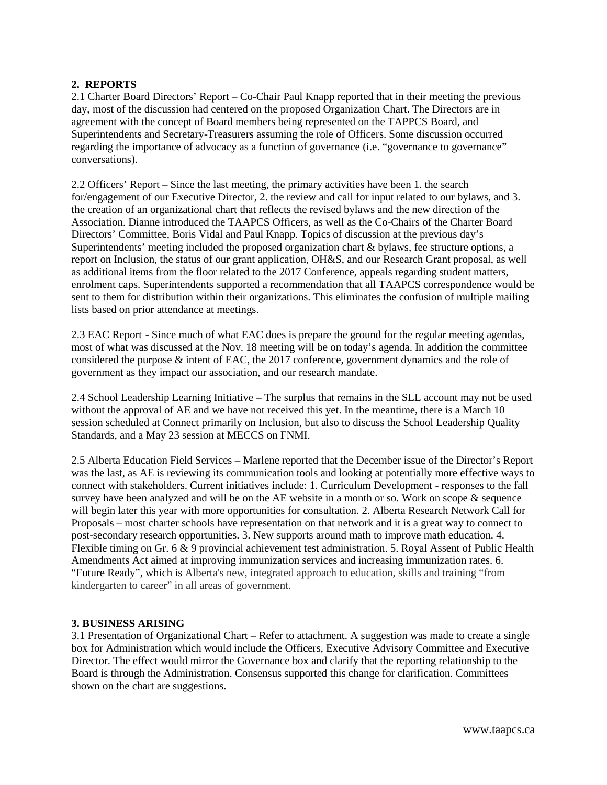### **2. REPORTS**

2.1 Charter Board Directors' Report – Co-Chair Paul Knapp reported that in their meeting the previous day, most of the discussion had centered on the proposed Organization Chart. The Directors are in agreement with the concept of Board members being represented on the TAPPCS Board, and Superintendents and Secretary-Treasurers assuming the role of Officers. Some discussion occurred regarding the importance of advocacy as a function of governance (i.e. "governance to governance" conversations).

2.2 Officers' Report – Since the last meeting, the primary activities have been 1. the search for/engagement of our Executive Director, 2. the review and call for input related to our bylaws, and 3. the creation of an organizational chart that reflects the revised bylaws and the new direction of the Association. Dianne introduced the TAAPCS Officers, as well as the Co-Chairs of the Charter Board Directors' Committee, Boris Vidal and Paul Knapp. Topics of discussion at the previous day's Superintendents' meeting included the proposed organization chart & bylaws, fee structure options, a report on Inclusion, the status of our grant application, OH&S, and our Research Grant proposal, as well as additional items from the floor related to the 2017 Conference, appeals regarding student matters, enrolment caps. Superintendents supported a recommendation that all TAAPCS correspondence would be sent to them for distribution within their organizations. This eliminates the confusion of multiple mailing lists based on prior attendance at meetings.

2.3 EAC Report - Since much of what EAC does is prepare the ground for the regular meeting agendas, most of what was discussed at the Nov. 18 meeting will be on today's agenda. In addition the committee considered the purpose & intent of EAC, the 2017 conference, government dynamics and the role of government as they impact our association, and our research mandate.

2.4 School Leadership Learning Initiative – The surplus that remains in the SLL account may not be used without the approval of AE and we have not received this yet. In the meantime, there is a March 10 session scheduled at Connect primarily on Inclusion, but also to discuss the School Leadership Quality Standards, and a May 23 session at MECCS on FNMI.

2.5 Alberta Education Field Services – Marlene reported that the December issue of the Director's Report was the last, as AE is reviewing its communication tools and looking at potentially more effective ways to connect with stakeholders. Current initiatives include: 1. Curriculum Development - responses to the fall survey have been analyzed and will be on the AE website in a month or so. Work on scope & sequence will begin later this year with more opportunities for consultation. 2. Alberta Research Network Call for Proposals – most charter schools have representation on that network and it is a great way to connect to post-secondary research opportunities. 3. New supports around math to improve math education. 4. Flexible timing on Gr. 6 & 9 provincial achievement test administration. 5. Royal Assent of Public Health Amendments Act aimed at improving immunization services and increasing immunization rates. 6. "Future Ready", which is Alberta's new, integrated approach to education, skills and training "from kindergarten to career" in all areas of government.

#### **3. BUSINESS ARISING**

3.1 Presentation of Organizational Chart – Refer to attachment. A suggestion was made to create a single box for Administration which would include the Officers, Executive Advisory Committee and Executive Director. The effect would mirror the Governance box and clarify that the reporting relationship to the Board is through the Administration. Consensus supported this change for clarification. Committees shown on the chart are suggestions.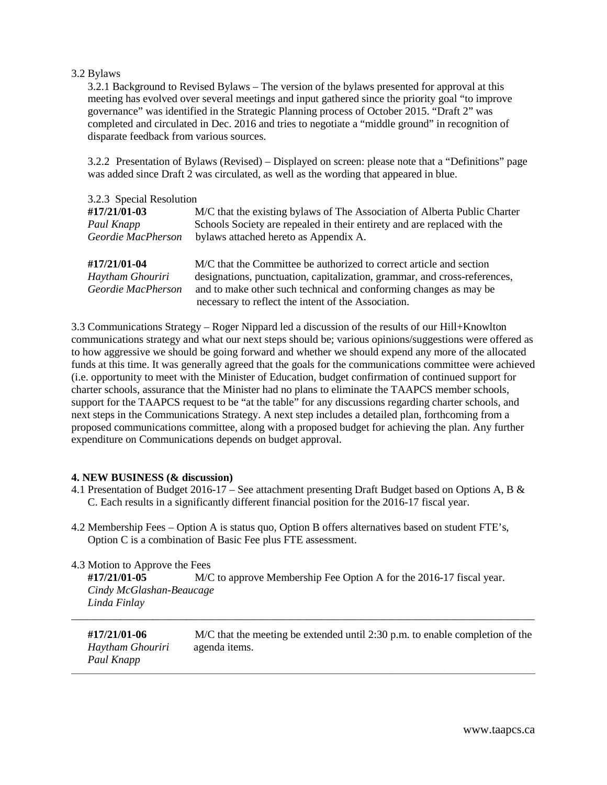#### 3.2 Bylaws

 3.2.1 Background to Revised Bylaws – The version of the bylaws presented for approval at this meeting has evolved over several meetings and input gathered since the priority goal "to improve governance" was identified in the Strategic Planning process of October 2015. "Draft 2" was completed and circulated in Dec. 2016 and tries to negotiate a "middle ground" in recognition of disparate feedback from various sources.

 3.2.2 Presentation of Bylaws (Revised) – Displayed on screen: please note that a "Definitions" page was added since Draft 2 was circulated, as well as the wording that appeared in blue.

| 3.2.3 Special Resolution |                                                                            |  |
|--------------------------|----------------------------------------------------------------------------|--|
| #17/21/01-03             | M/C that the existing by laws of The Association of Alberta Public Charter |  |
| Paul Knapp               | Schools Society are repealed in their entirety and are replaced with the   |  |
| Geordie MacPherson       | bylaws attached hereto as Appendix A.                                      |  |
|                          |                                                                            |  |
| #17/21/01-04             | M/C that the Committee be authorized to correct article and section        |  |
| Haytham Ghouriri         | designations, punctuation, capitalization, grammar, and cross-references,  |  |
| Geordie MacPherson       | and to make other such technical and conforming changes as may be          |  |
|                          | necessary to reflect the intent of the Association.                        |  |

3.3 Communications Strategy – Roger Nippard led a discussion of the results of our Hill+Knowlton communications strategy and what our next steps should be; various opinions/suggestions were offered as to how aggressive we should be going forward and whether we should expend any more of the allocated funds at this time. It was generally agreed that the goals for the communications committee were achieved (i.e. opportunity to meet with the Minister of Education, budget confirmation of continued support for charter schools, assurance that the Minister had no plans to eliminate the TAAPCS member schools, support for the TAAPCS request to be "at the table" for any discussions regarding charter schools, and next steps in the Communications Strategy. A next step includes a detailed plan, forthcoming from a proposed communications committee, along with a proposed budget for achieving the plan. Any further expenditure on Communications depends on budget approval.

#### **4. NEW BUSINESS (& discussion)**

- 4.1 Presentation of Budget 2016-17 See attachment presenting Draft Budget based on Options A, B & C. Each results in a significantly different financial position for the 2016-17 fiscal year.
- 4.2 Membership Fees Option A is status quo, Option B offers alternatives based on student FTE's, Option C is a combination of Basic Fee plus FTE assessment.

4.3 Motion to Approve the Fees

 **#17/21/01-05** M/C to approve Membership Fee Option A for the 2016-17 fiscal year.  *Cindy McGlashan-Beaucage Linda Finlay*

| #17/21/01-06<br>Haytham Ghouriri<br>Paul Knapp | $M/C$ that the meeting be extended until 2:30 p.m. to enable completion of the<br>agenda items. |
|------------------------------------------------|-------------------------------------------------------------------------------------------------|
|------------------------------------------------|-------------------------------------------------------------------------------------------------|

\_\_\_\_\_\_\_\_\_\_\_\_\_\_\_\_\_\_\_\_\_\_\_\_\_\_\_\_\_\_\_\_\_\_\_\_\_\_\_\_\_\_\_\_\_\_\_\_\_\_\_\_\_\_\_\_\_\_\_\_\_\_\_\_\_\_\_\_\_\_\_\_\_\_\_\_\_\_\_\_\_\_\_\_\_